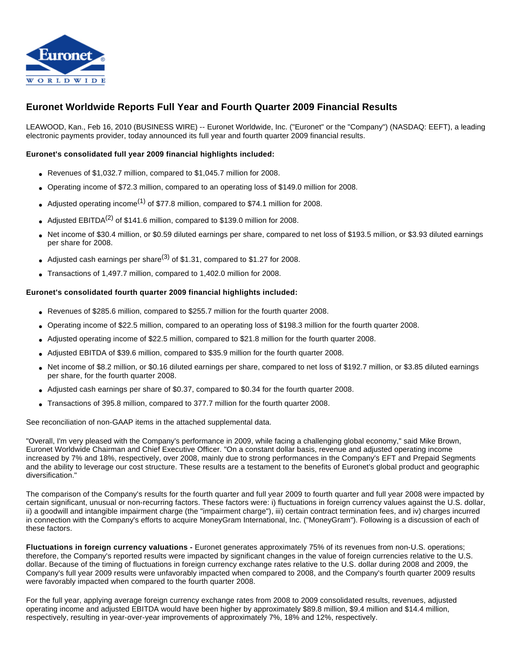

# **Euronet Worldwide Reports Full Year and Fourth Quarter 2009 Financial Results**

LEAWOOD, Kan., Feb 16, 2010 (BUSINESS WIRE) -- Euronet Worldwide, Inc. ("Euronet" or the "Company") (NASDAQ: EEFT), a leading electronic payments provider, today announced its full year and fourth quarter 2009 financial results.

#### **Euronet's consolidated full year 2009 financial highlights included:**

- Revenues of \$1,032.7 million, compared to \$1,045.7 million for 2008.
- Operating income of \$72.3 million, compared to an operating loss of \$149.0 million for 2008.
- Adjusted operating income<sup>(1)</sup> of \$77.8 million, compared to \$74.1 million for 2008.
- Adjusted EBITDA<sup>(2)</sup> of \$141.6 million, compared to \$139.0 million for 2008.
- Net income of \$30.4 million, or \$0.59 diluted earnings per share, compared to net loss of \$193.5 million, or \$3.93 diluted earnings per share for 2008.
- Adjusted cash earnings per share<sup>(3)</sup> of \$1.31, compared to \$1.27 for 2008.
- Transactions of 1,497.7 million, compared to 1,402.0 million for 2008.

#### **Euronet's consolidated fourth quarter 2009 financial highlights included:**

- Revenues of \$285.6 million, compared to \$255.7 million for the fourth quarter 2008.
- Operating income of \$22.5 million, compared to an operating loss of \$198.3 million for the fourth quarter 2008.
- Adjusted operating income of \$22.5 million, compared to \$21.8 million for the fourth quarter 2008.
- Adjusted EBITDA of \$39.6 million, compared to \$35.9 million for the fourth quarter 2008.
- Net income of \$8.2 million, or \$0.16 diluted earnings per share, compared to net loss of \$192.7 million, or \$3.85 diluted earnings per share, for the fourth quarter 2008.
- Adjusted cash earnings per share of \$0.37, compared to \$0.34 for the fourth quarter 2008.
- Transactions of 395.8 million, compared to 377.7 million for the fourth quarter 2008.

See reconciliation of non-GAAP items in the attached supplemental data.

"Overall, I'm very pleased with the Company's performance in 2009, while facing a challenging global economy," said Mike Brown, Euronet Worldwide Chairman and Chief Executive Officer. "On a constant dollar basis, revenue and adjusted operating income increased by 7% and 18%, respectively, over 2008, mainly due to strong performances in the Company's EFT and Prepaid Segments and the ability to leverage our cost structure. These results are a testament to the benefits of Euronet's global product and geographic diversification."

The comparison of the Company's results for the fourth quarter and full year 2009 to fourth quarter and full year 2008 were impacted by certain significant, unusual or non-recurring factors. These factors were: i) fluctuations in foreign currency values against the U.S. dollar, ii) a goodwill and intangible impairment charge (the "impairment charge"), iii) certain contract termination fees, and iv) charges incurred in connection with the Company's efforts to acquire MoneyGram International, Inc. ("MoneyGram"). Following is a discussion of each of these factors.

**Fluctuations in foreign currency valuations -** Euronet generates approximately 75% of its revenues from non-U.S. operations; therefore, the Company's reported results were impacted by significant changes in the value of foreign currencies relative to the U.S. dollar. Because of the timing of fluctuations in foreign currency exchange rates relative to the U.S. dollar during 2008 and 2009, the Company's full year 2009 results were unfavorably impacted when compared to 2008, and the Company's fourth quarter 2009 results were favorably impacted when compared to the fourth quarter 2008.

For the full year, applying average foreign currency exchange rates from 2008 to 2009 consolidated results, revenues, adjusted operating income and adjusted EBITDA would have been higher by approximately \$89.8 million, \$9.4 million and \$14.4 million, respectively, resulting in year-over-year improvements of approximately 7%, 18% and 12%, respectively.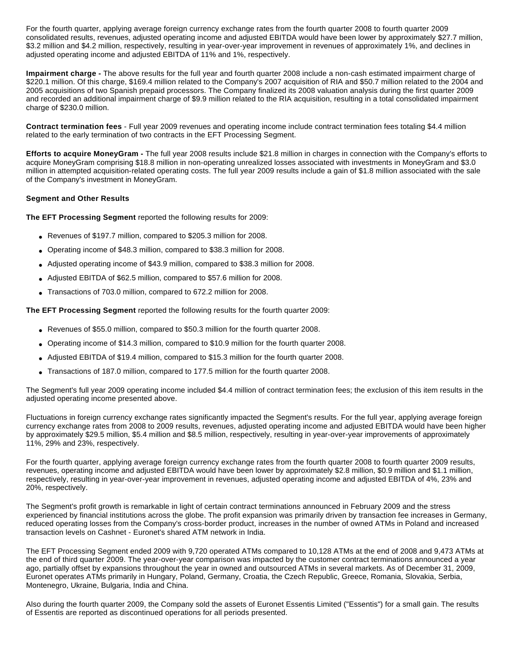For the fourth quarter, applying average foreign currency exchange rates from the fourth quarter 2008 to fourth quarter 2009 consolidated results, revenues, adjusted operating income and adjusted EBITDA would have been lower by approximately \$27.7 million, \$3.2 million and \$4.2 million, respectively, resulting in year-over-year improvement in revenues of approximately 1%, and declines in adjusted operating income and adjusted EBITDA of 11% and 1%, respectively.

**Impairment charge -** The above results for the full year and fourth quarter 2008 include a non-cash estimated impairment charge of \$220.1 million. Of this charge, \$169.4 million related to the Company's 2007 acquisition of RIA and \$50.7 million related to the 2004 and 2005 acquisitions of two Spanish prepaid processors. The Company finalized its 2008 valuation analysis during the first quarter 2009 and recorded an additional impairment charge of \$9.9 million related to the RIA acquisition, resulting in a total consolidated impairment charge of \$230.0 million.

**Contract termination fees** - Full year 2009 revenues and operating income include contract termination fees totaling \$4.4 million related to the early termination of two contracts in the EFT Processing Segment.

**Efforts to acquire MoneyGram -** The full year 2008 results include \$21.8 million in charges in connection with the Company's efforts to acquire MoneyGram comprising \$18.8 million in non-operating unrealized losses associated with investments in MoneyGram and \$3.0 million in attempted acquisition-related operating costs. The full year 2009 results include a gain of \$1.8 million associated with the sale of the Company's investment in MoneyGram.

#### **Segment and Other Results**

**The EFT Processing Segment** reported the following results for 2009:

- Revenues of \$197.7 million, compared to \$205.3 million for 2008.
- Operating income of \$48.3 million, compared to \$38.3 million for 2008.
- Adjusted operating income of \$43.9 million, compared to \$38.3 million for 2008.
- Adjusted EBITDA of \$62.5 million, compared to \$57.6 million for 2008.
- Transactions of 703.0 million, compared to 672.2 million for 2008.

**The EFT Processing Segment** reported the following results for the fourth quarter 2009:

- Revenues of \$55.0 million, compared to \$50.3 million for the fourth quarter 2008.
- Operating income of \$14.3 million, compared to \$10.9 million for the fourth quarter 2008.
- Adjusted EBITDA of \$19.4 million, compared to \$15.3 million for the fourth quarter 2008.
- Transactions of 187.0 million, compared to 177.5 million for the fourth quarter 2008.

The Segment's full year 2009 operating income included \$4.4 million of contract termination fees; the exclusion of this item results in the adjusted operating income presented above.

Fluctuations in foreign currency exchange rates significantly impacted the Segment's results. For the full year, applying average foreign currency exchange rates from 2008 to 2009 results, revenues, adjusted operating income and adjusted EBITDA would have been higher by approximately \$29.5 million, \$5.4 million and \$8.5 million, respectively, resulting in year-over-year improvements of approximately 11%, 29% and 23%, respectively.

For the fourth quarter, applying average foreign currency exchange rates from the fourth quarter 2008 to fourth quarter 2009 results, revenues, operating income and adjusted EBITDA would have been lower by approximately \$2.8 million, \$0.9 million and \$1.1 million, respectively, resulting in year-over-year improvement in revenues, adjusted operating income and adjusted EBITDA of 4%, 23% and 20%, respectively.

The Segment's profit growth is remarkable in light of certain contract terminations announced in February 2009 and the stress experienced by financial institutions across the globe. The profit expansion was primarily driven by transaction fee increases in Germany, reduced operating losses from the Company's cross-border product, increases in the number of owned ATMs in Poland and increased transaction levels on Cashnet - Euronet's shared ATM network in India.

The EFT Processing Segment ended 2009 with 9,720 operated ATMs compared to 10,128 ATMs at the end of 2008 and 9,473 ATMs at the end of third quarter 2009. The year-over-year comparison was impacted by the customer contract terminations announced a year ago, partially offset by expansions throughout the year in owned and outsourced ATMs in several markets. As of December 31, 2009, Euronet operates ATMs primarily in Hungary, Poland, Germany, Croatia, the Czech Republic, Greece, Romania, Slovakia, Serbia, Montenegro, Ukraine, Bulgaria, India and China.

Also during the fourth quarter 2009, the Company sold the assets of Euronet Essentis Limited ("Essentis") for a small gain. The results of Essentis are reported as discontinued operations for all periods presented.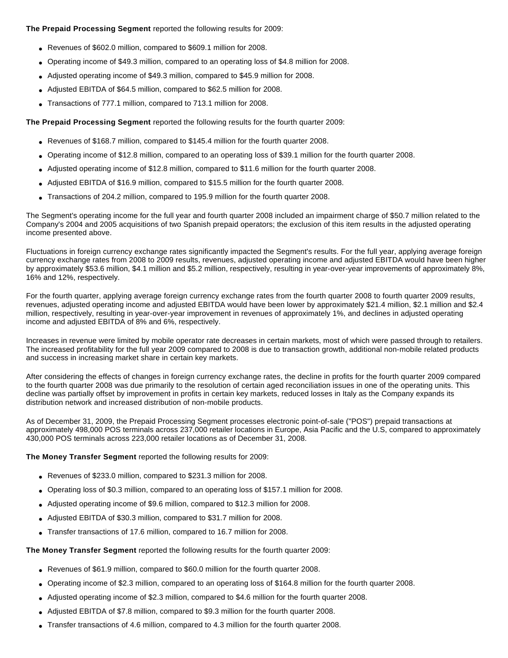#### **The Prepaid Processing Segment** reported the following results for 2009:

- Revenues of \$602.0 million, compared to \$609.1 million for 2008.
- Operating income of \$49.3 million, compared to an operating loss of \$4.8 million for 2008.
- Adjusted operating income of \$49.3 million, compared to \$45.9 million for 2008.
- Adjusted EBITDA of \$64.5 million, compared to \$62.5 million for 2008.
- Transactions of 777.1 million, compared to 713.1 million for 2008.

**The Prepaid Processing Segment** reported the following results for the fourth quarter 2009:

- Revenues of \$168.7 million, compared to \$145.4 million for the fourth quarter 2008.
- Operating income of \$12.8 million, compared to an operating loss of \$39.1 million for the fourth quarter 2008.
- Adjusted operating income of \$12.8 million, compared to \$11.6 million for the fourth quarter 2008.
- Adjusted EBITDA of \$16.9 million, compared to \$15.5 million for the fourth quarter 2008.
- Transactions of 204.2 million, compared to 195.9 million for the fourth quarter 2008.

The Segment's operating income for the full year and fourth quarter 2008 included an impairment charge of \$50.7 million related to the Company's 2004 and 2005 acquisitions of two Spanish prepaid operators; the exclusion of this item results in the adjusted operating income presented above.

Fluctuations in foreign currency exchange rates significantly impacted the Segment's results. For the full year, applying average foreign currency exchange rates from 2008 to 2009 results, revenues, adjusted operating income and adjusted EBITDA would have been higher by approximately \$53.6 million, \$4.1 million and \$5.2 million, respectively, resulting in year-over-year improvements of approximately 8%, 16% and 12%, respectively.

For the fourth quarter, applying average foreign currency exchange rates from the fourth quarter 2008 to fourth quarter 2009 results, revenues, adjusted operating income and adjusted EBITDA would have been lower by approximately \$21.4 million, \$2.1 million and \$2.4 million, respectively, resulting in year-over-year improvement in revenues of approximately 1%, and declines in adjusted operating income and adjusted EBITDA of 8% and 6%, respectively.

Increases in revenue were limited by mobile operator rate decreases in certain markets, most of which were passed through to retailers. The increased profitability for the full year 2009 compared to 2008 is due to transaction growth, additional non-mobile related products and success in increasing market share in certain key markets.

After considering the effects of changes in foreign currency exchange rates, the decline in profits for the fourth quarter 2009 compared to the fourth quarter 2008 was due primarily to the resolution of certain aged reconciliation issues in one of the operating units. This decline was partially offset by improvement in profits in certain key markets, reduced losses in Italy as the Company expands its distribution network and increased distribution of non-mobile products.

As of December 31, 2009, the Prepaid Processing Segment processes electronic point-of-sale ("POS") prepaid transactions at approximately 498,000 POS terminals across 237,000 retailer locations in Europe, Asia Pacific and the U.S, compared to approximately 430,000 POS terminals across 223,000 retailer locations as of December 31, 2008.

**The Money Transfer Segment** reported the following results for 2009:

- Revenues of \$233.0 million, compared to \$231.3 million for 2008.
- Operating loss of \$0.3 million, compared to an operating loss of \$157.1 million for 2008.
- Adjusted operating income of \$9.6 million, compared to \$12.3 million for 2008.
- Adjusted EBITDA of \$30.3 million, compared to \$31.7 million for 2008.
- Transfer transactions of 17.6 million, compared to 16.7 million for 2008.

**The Money Transfer Segment** reported the following results for the fourth quarter 2009:

- Revenues of \$61.9 million, compared to \$60.0 million for the fourth quarter 2008.
- Operating income of \$2.3 million, compared to an operating loss of \$164.8 million for the fourth quarter 2008.
- Adjusted operating income of \$2.3 million, compared to \$4.6 million for the fourth quarter 2008.
- Adjusted EBITDA of \$7.8 million, compared to \$9.3 million for the fourth quarter 2008.
- Transfer transactions of 4.6 million, compared to 4.3 million for the fourth quarter 2008.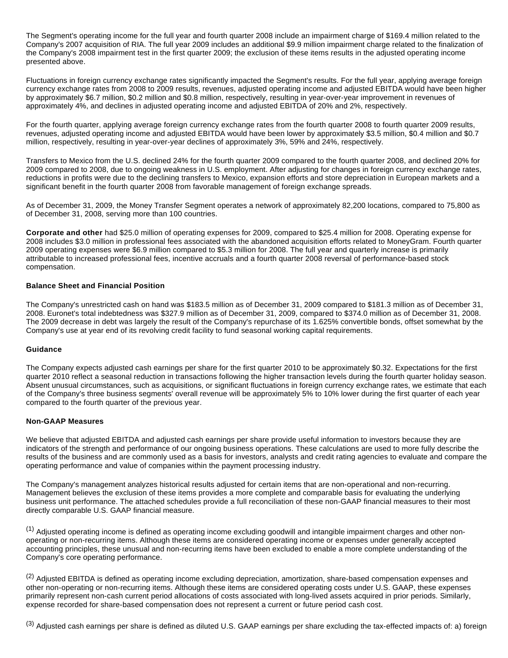The Segment's operating income for the full year and fourth quarter 2008 include an impairment charge of \$169.4 million related to the Company's 2007 acquisition of RIA. The full year 2009 includes an additional \$9.9 million impairment charge related to the finalization of the Company's 2008 impairment test in the first quarter 2009; the exclusion of these items results in the adjusted operating income presented above.

Fluctuations in foreign currency exchange rates significantly impacted the Segment's results. For the full year, applying average foreign currency exchange rates from 2008 to 2009 results, revenues, adjusted operating income and adjusted EBITDA would have been higher by approximately \$6.7 million, \$0.2 million and \$0.8 million, respectively, resulting in year-over-year improvement in revenues of approximately 4%, and declines in adjusted operating income and adjusted EBITDA of 20% and 2%, respectively.

For the fourth quarter, applying average foreign currency exchange rates from the fourth quarter 2008 to fourth quarter 2009 results, revenues, adjusted operating income and adjusted EBITDA would have been lower by approximately \$3.5 million, \$0.4 million and \$0.7 million, respectively, resulting in year-over-year declines of approximately 3%, 59% and 24%, respectively.

Transfers to Mexico from the U.S. declined 24% for the fourth quarter 2009 compared to the fourth quarter 2008, and declined 20% for 2009 compared to 2008, due to ongoing weakness in U.S. employment. After adjusting for changes in foreign currency exchange rates, reductions in profits were due to the declining transfers to Mexico, expansion efforts and store depreciation in European markets and a significant benefit in the fourth quarter 2008 from favorable management of foreign exchange spreads.

As of December 31, 2009, the Money Transfer Segment operates a network of approximately 82,200 locations, compared to 75,800 as of December 31, 2008, serving more than 100 countries.

**Corporate and other** had \$25.0 million of operating expenses for 2009, compared to \$25.4 million for 2008. Operating expense for 2008 includes \$3.0 million in professional fees associated with the abandoned acquisition efforts related to MoneyGram. Fourth quarter 2009 operating expenses were \$6.9 million compared to \$5.3 million for 2008. The full year and quarterly increase is primarily attributable to increased professional fees, incentive accruals and a fourth quarter 2008 reversal of performance-based stock compensation.

#### **Balance Sheet and Financial Position**

The Company's unrestricted cash on hand was \$183.5 million as of December 31, 2009 compared to \$181.3 million as of December 31, 2008. Euronet's total indebtedness was \$327.9 million as of December 31, 2009, compared to \$374.0 million as of December 31, 2008. The 2009 decrease in debt was largely the result of the Company's repurchase of its 1.625% convertible bonds, offset somewhat by the Company's use at year end of its revolving credit facility to fund seasonal working capital requirements.

#### **Guidance**

The Company expects adjusted cash earnings per share for the first quarter 2010 to be approximately \$0.32. Expectations for the first quarter 2010 reflect a seasonal reduction in transactions following the higher transaction levels during the fourth quarter holiday season. Absent unusual circumstances, such as acquisitions, or significant fluctuations in foreign currency exchange rates, we estimate that each of the Company's three business segments' overall revenue will be approximately 5% to 10% lower during the first quarter of each year compared to the fourth quarter of the previous year.

#### **Non-GAAP Measures**

We believe that adjusted EBITDA and adjusted cash earnings per share provide useful information to investors because they are indicators of the strength and performance of our ongoing business operations. These calculations are used to more fully describe the results of the business and are commonly used as a basis for investors, analysts and credit rating agencies to evaluate and compare the operating performance and value of companies within the payment processing industry.

The Company's management analyzes historical results adjusted for certain items that are non-operational and non-recurring. Management believes the exclusion of these items provides a more complete and comparable basis for evaluating the underlying business unit performance. The attached schedules provide a full reconciliation of these non-GAAP financial measures to their most directly comparable U.S. GAAP financial measure.

(1) Adjusted operating income is defined as operating income excluding goodwill and intangible impairment charges and other nonoperating or non-recurring items. Although these items are considered operating income or expenses under generally accepted accounting principles, these unusual and non-recurring items have been excluded to enable a more complete understanding of the Company's core operating performance.

(2) Adjusted EBITDA is defined as operating income excluding depreciation, amortization, share-based compensation expenses and other non-operating or non-recurring items. Although these items are considered operating costs under U.S. GAAP, these expenses primarily represent non-cash current period allocations of costs associated with long-lived assets acquired in prior periods. Similarly, expense recorded for share-based compensation does not represent a current or future period cash cost.

(3) Adjusted cash earnings per share is defined as diluted U.S. GAAP earnings per share excluding the tax-effected impacts of: a) foreign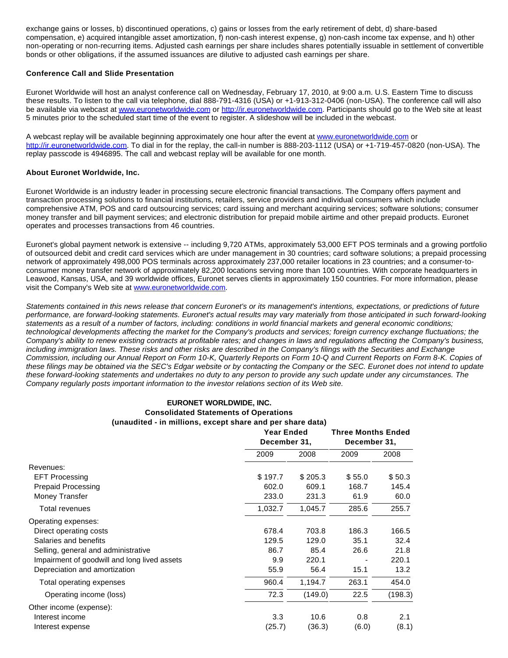exchange gains or losses, b) discontinued operations, c) gains or losses from the early retirement of debt, d) share-based compensation, e) acquired intangible asset amortization, f) non-cash interest expense, g) non-cash income tax expense, and h) other non-operating or non-recurring items. Adjusted cash earnings per share includes shares potentially issuable in settlement of convertible bonds or other obligations, if the assumed issuances are dilutive to adjusted cash earnings per share.

#### **Conference Call and Slide Presentation**

Euronet Worldwide will host an analyst conference call on Wednesday, February 17, 2010, at 9:00 a.m. U.S. Eastern Time to discuss these results. To listen to the call via telephone, dial 888-791-4316 (USA) or +1-913-312-0406 (non-USA). The conference call will also be available via webcast at [www.euronetworldwide.com](http://cts.businesswire.com/ct/CT?id=smartlink&url=http%3A%2F%2Fwww.euronetworldwide.com&esheet=6182032&lan=en_US&anchor=www.euronetworldwide.com&index=1&md5=5d5a91dcdeb958a901df4328575605e6) or [http://ir.euronetworldwide.com.](http://cts.businesswire.com/ct/CT?id=smartlink&url=http%3A%2F%2Fir.euronetworldwide.com&esheet=6182032&lan=en_US&anchor=http%3A%2F%2Fir.euronetworldwide.com&index=2&md5=987e35d40833673edd1ede59dc724c84) Participants should go to the Web site at least 5 minutes prior to the scheduled start time of the event to register. A slideshow will be included in the webcast.

A webcast replay will be available beginning approximately one hour after the event at [www.euronetworldwide.com](http://cts.businesswire.com/ct/CT?id=smartlink&url=http%3A%2F%2Fwww.euronetworldwide.com&esheet=6182032&lan=en_US&anchor=www.euronetworldwide.com&index=3&md5=893b1a37670efbc5dcc173d938765cfb) or [http://ir.euronetworldwide.com.](http://cts.businesswire.com/ct/CT?id=smartlink&url=http%3A%2F%2Fir.euronetworldwide.com&esheet=6182032&lan=en_US&anchor=http%3A%2F%2Fir.euronetworldwide.com&index=4&md5=14be8b1f20526815d765351f808b0316) To dial in for the replay, the call-in number is 888-203-1112 (USA) or +1-719-457-0820 (non-USA). The replay passcode is 4946895. The call and webcast replay will be available for one month.

#### **About Euronet Worldwide, Inc.**

Euronet Worldwide is an industry leader in processing secure electronic financial transactions. The Company offers payment and transaction processing solutions to financial institutions, retailers, service providers and individual consumers which include comprehensive ATM, POS and card outsourcing services; card issuing and merchant acquiring services; software solutions; consumer money transfer and bill payment services; and electronic distribution for prepaid mobile airtime and other prepaid products. Euronet operates and processes transactions from 46 countries.

Euronet's global payment network is extensive -- including 9,720 ATMs, approximately 53,000 EFT POS terminals and a growing portfolio of outsourced debit and credit card services which are under management in 30 countries; card software solutions; a prepaid processing network of approximately 498,000 POS terminals across approximately 237,000 retailer locations in 23 countries; and a consumer-toconsumer money transfer network of approximately 82,200 locations serving more than 100 countries. With corporate headquarters in Leawood, Kansas, USA, and 39 worldwide offices, Euronet serves clients in approximately 150 countries. For more information, please visit the Company's Web site at [www.euronetworldwide.com.](http://cts.businesswire.com/ct/CT?id=smartlink&url=http%3A%2F%2Fwww.euronetworldwide.com%2F&esheet=6182032&lan=en_US&anchor=www.euronetworldwide.com&index=5&md5=e6078ba1fe0177f9b6a59fcbeb0d4048)

Statements contained in this news release that concern Euronet's or its management's intentions, expectations, or predictions of future performance, are forward-looking statements. Euronet's actual results may vary materially from those anticipated in such forward-looking statements as a result of a number of factors, including: conditions in world financial markets and general economic conditions; technological developments affecting the market for the Company's products and services; foreign currency exchange fluctuations; the Company's ability to renew existing contracts at profitable rates; and changes in laws and regulations affecting the Company's business, including immigration laws. These risks and other risks are described in the Company's filings with the Securities and Exchange Commission, including our Annual Report on Form 10-K, Quarterly Reports on Form 10-Q and Current Reports on Form 8-K. Copies of these filings may be obtained via the SEC's Edgar website or by contacting the Company or the SEC. Euronet does not intend to update these forward-looking statements and undertakes no duty to any person to provide any such update under any circumstances. The Company regularly posts important information to the investor relations section of its Web site.

#### **EURONET WORLDWIDE, INC. Consolidated Statements of Operations (unaudited - in millions, except share and per share data)**

|                                              | <b>Year Ended</b><br>December 31, |         | <b>Three Months Ended</b><br>December 31, |         |
|----------------------------------------------|-----------------------------------|---------|-------------------------------------------|---------|
|                                              | 2009                              | 2008    | 2009                                      | 2008    |
| Revenues:                                    |                                   |         |                                           |         |
| <b>EFT Processing</b>                        | \$197.7                           | \$205.3 | \$55.0                                    | \$50.3  |
| <b>Prepaid Processing</b>                    | 602.0                             | 609.1   | 168.7                                     | 145.4   |
| Money Transfer                               | 233.0                             | 231.3   | 61.9                                      | 60.0    |
| Total revenues                               | 1,032.7                           | 1,045.7 | 285.6                                     | 255.7   |
| Operating expenses:                          |                                   |         |                                           |         |
| Direct operating costs                       | 678.4                             | 703.8   | 186.3                                     | 166.5   |
| Salaries and benefits                        | 129.5                             | 129.0   | 35.1                                      | 32.4    |
| Selling, general and administrative          | 86.7                              | 85.4    | 26.6                                      | 21.8    |
| Impairment of goodwill and long lived assets | 9.9                               | 220.1   |                                           | 220.1   |
| Depreciation and amortization                | 55.9                              | 56.4    | 15.1                                      | 13.2    |
| Total operating expenses                     | 960.4                             | 1.194.7 | 263.1                                     | 454.0   |
| Operating income (loss)                      | 72.3                              | (149.0) | 22.5                                      | (198.3) |
| Other income (expense):                      |                                   |         |                                           |         |
| Interest income                              | 3.3                               | 10.6    | 0.8                                       | 2.1     |
| Interest expense                             | (25.7)                            | (36.3)  | (6.0)                                     | (8.1)   |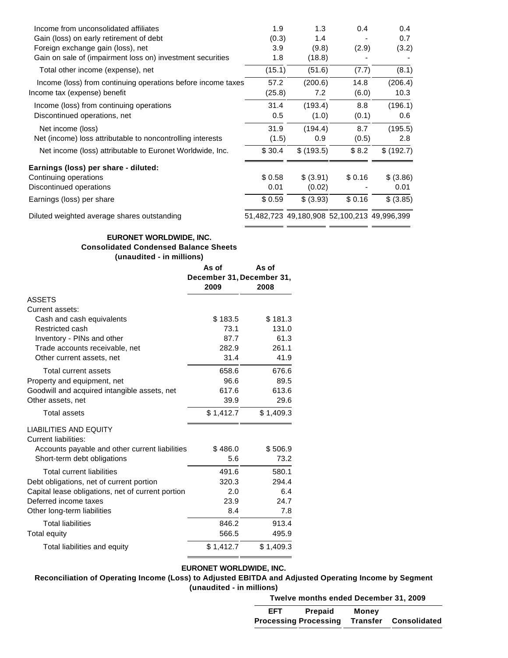| Income from unconsolidated affiliates                        | 1.9    | 1.3                                         | 0.4    | 0.4       |
|--------------------------------------------------------------|--------|---------------------------------------------|--------|-----------|
| Gain (loss) on early retirement of debt                      | (0.3)  | 1.4                                         |        | 0.7       |
| Foreign exchange gain (loss), net                            | 3.9    | (9.8)                                       | (2.9)  | (3.2)     |
| Gain on sale of (impairment loss on) investment securities   | 1.8    | (18.8)                                      |        |           |
| Total other income (expense), net                            | (15.1) | (51.6)                                      | (7.7)  | (8.1)     |
| Income (loss) from continuing operations before income taxes | 57.2   | (200.6)                                     | 14.8   | (206.4)   |
| Income tax (expense) benefit                                 | (25.8) | 7.2                                         | (6.0)  | 10.3      |
| Income (loss) from continuing operations                     | 31.4   | (193.4)                                     | 8.8    | (196.1)   |
| Discontinued operations, net                                 | 0.5    | (1.0)                                       | (0.1)  | 0.6       |
| Net income (loss)                                            | 31.9   | (194.4)                                     | 8.7    | (195.5)   |
| Net (income) loss attributable to noncontrolling interests   | (1.5)  | 0.9                                         | (0.5)  | 2.8       |
| Net income (loss) attributable to Euronet Worldwide, Inc.    | \$30.4 | \$(193.5)                                   | \$8.2  | \$(192.7) |
| Earnings (loss) per share - diluted:                         |        |                                             |        |           |
| Continuing operations                                        | \$0.58 | \$ (3.91)                                   | \$0.16 | \$ (3.86) |
| Discontinued operations                                      | 0.01   | (0.02)                                      |        | 0.01      |
| Earnings (loss) per share                                    | \$0.59 | \$ (3.93)                                   | \$0.16 | \$ (3.85) |
| Diluted weighted average shares outstanding                  |        | 51,482,723 49,180,908 52,100,213 49,996,399 |        |           |

 $=$   $=$ 

. .

. د

# **EURONET WORLDWIDE, INC. Consolidated Condensed Balance Sheets (unaudited - in millions)**

|                                                              | As of<br>As of                    |           |  |
|--------------------------------------------------------------|-----------------------------------|-----------|--|
|                                                              | December 31, December 31,<br>2009 | 2008      |  |
| <b>ASSETS</b>                                                |                                   |           |  |
| Current assets:                                              |                                   |           |  |
| Cash and cash equivalents                                    | \$183.5                           | \$181.3   |  |
| Restricted cash                                              | 73.1                              | 131.0     |  |
| Inventory - PINs and other                                   | 87.7                              | 61.3      |  |
| Trade accounts receivable, net                               | 282.9                             | 261.1     |  |
| Other current assets, net                                    | 31.4                              | 41.9      |  |
| Total current assets                                         | 658.6                             | 676.6     |  |
| Property and equipment, net                                  | 96.6                              | 89.5      |  |
| Goodwill and acquired intangible assets, net                 | 617.6                             | 613.6     |  |
| Other assets, net                                            | 39.9                              | 29.6      |  |
| <b>Total assets</b>                                          | \$1,412.7                         | \$1,409.3 |  |
| <b>LIABILITIES AND EQUITY</b><br><b>Current liabilities:</b> |                                   |           |  |
| Accounts payable and other current liabilities               | \$486.0                           | \$506.9   |  |
| Short-term debt obligations                                  | 5.6                               | 73.2      |  |
| <b>Total current liabilities</b>                             | 491.6                             | 580.1     |  |
| Debt obligations, net of current portion                     | 320.3                             | 294.4     |  |
| Capital lease obligations, net of current portion            | 2.0                               | 6.4       |  |
| Deferred income taxes                                        | 23.9                              | 24.7      |  |
| Other long-term liabilities                                  | 8.4                               | 7.8       |  |
| <b>Total liabilities</b>                                     | 846.2                             | 913.4     |  |
| Total equity                                                 | 566.5                             | 495.9     |  |
| Total liabilities and equity                                 | \$1,412.7                         | \$1,409.3 |  |

# **EURONET WORLDWIDE, INC.**

#### **Reconciliation of Operating Income (Loss) to Adjusted EBITDA and Adjusted Operating Income by Segment (unaudited - in millions)**

**Twelve months ended December 31, 2009**

| EFT | Prepaid                      | Money |                              |
|-----|------------------------------|-------|------------------------------|
|     | <b>Processing Processing</b> |       | <b>Transfer Consolidated</b> |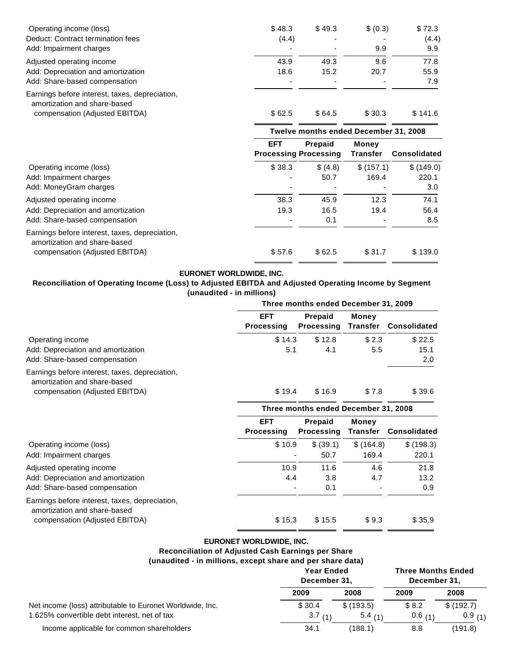| Operating income (loss)                                                        | \$48.3 | \$49.3 | \$ (0.3)                 | \$72.3  |
|--------------------------------------------------------------------------------|--------|--------|--------------------------|---------|
| Deduct: Contract termination fees                                              | (4.4)  |        | $\overline{\phantom{a}}$ | (4.4)   |
| Add: Impairment charges                                                        |        |        | 9.9                      | 9.9     |
| Adjusted operating income                                                      | 43.9   | 49.3   | 9.6                      | 77.8    |
| Add: Depreciation and amortization                                             | 18.6   | 15.2   | 20.7                     | 55.9    |
| Add: Share-based compensation                                                  |        |        |                          | 7.9     |
| Earnings before interest, taxes, depreciation,<br>amortization and share-based |        |        |                          |         |
| compensation (Adjusted EBITDA)                                                 | \$62.5 | \$64.5 | \$30.3                   | \$141.6 |

|                                                                                | Twelve months ended December 31, 2008 |                                                |                                 |                     |
|--------------------------------------------------------------------------------|---------------------------------------|------------------------------------------------|---------------------------------|---------------------|
|                                                                                | <b>EFT</b>                            | <b>Prepaid</b><br><b>Processing Processing</b> | <b>Money</b><br><b>Transfer</b> | <b>Consolidated</b> |
| Operating income (loss)                                                        | \$38.3                                | \$ (4.8)                                       | \$(157.1)                       | \$(149.0)           |
| Add: Impairment charges                                                        |                                       | 50.7                                           | 169.4                           | 220.1               |
| Add: MoneyGram charges                                                         |                                       |                                                |                                 | 3.0                 |
| Adjusted operating income                                                      | 38.3                                  | 45.9                                           | 12.3                            | 74.1                |
| Add: Depreciation and amortization                                             | 19.3                                  | 16.5                                           | 19.4                            | 56.4                |
| Add: Share-based compensation                                                  |                                       | 0.1                                            | $\overline{a}$                  | 8.5                 |
| Earnings before interest, taxes, depreciation,<br>amortization and share-based |                                       |                                                |                                 |                     |
| compensation (Adjusted EBITDA)                                                 | \$57.6                                | \$62.5                                         | \$31.7                          | \$139.0             |

# **EURONET WORLDWIDE, INC.**

#### **Reconciliation of Operating Income (Loss) to Adjusted EBITDA and Adjusted Operating Income by Segment (unaudited - in millions) Three months ended December 31, 2009**

|                                                                                | Three months ended December 31, 2009 |                                      |                          |                              |
|--------------------------------------------------------------------------------|--------------------------------------|--------------------------------------|--------------------------|------------------------------|
|                                                                                | <b>EFT</b><br><b>Processing</b>      | <b>Prepaid</b><br>Processing         | <b>Money</b>             | <b>Transfer Consolidated</b> |
| Operating income                                                               | \$14.3                               | \$12.8                               | \$2.3                    | \$22.5                       |
| Add: Depreciation and amortization<br>Add: Share-based compensation            | 5.1                                  | 4.1                                  | 5.5                      | 15.1<br>2.0                  |
| Earnings before interest, taxes, depreciation,<br>amortization and share-based |                                      |                                      |                          |                              |
| compensation (Adjusted EBITDA)                                                 | \$19.4                               | \$16.9                               | \$7.8                    | \$39.6                       |
|                                                                                |                                      | Three months ended December 31, 2008 |                          |                              |
|                                                                                | <b>EFT</b><br><b>Procassing</b>      | <b>Prepaid</b><br>Procassing         | <b>Money</b><br>Tranefar | Consolidated                 |

|                                                                                | <b>Processing</b> | Processing | Transfer  | <b>Consolidated</b> |
|--------------------------------------------------------------------------------|-------------------|------------|-----------|---------------------|
| Operating income (loss)                                                        | \$10.9            | \$ (39.1)  | \$(164.8) | \$(198.3)           |
| Add: Impairment charges                                                        | $\overline{a}$    | 50.7       | 169.4     | 220.1               |
| Adjusted operating income                                                      | 10.9              | 11.6       | 4.6       | 21.8                |
| Add: Depreciation and amortization                                             | 4.4               | 3.8        | 4.7       | 13.2                |
| Add: Share-based compensation                                                  | $\overline{a}$    | 0.1        |           | 0.9                 |
| Earnings before interest, taxes, depreciation,<br>amortization and share-based |                   |            |           |                     |
| compensation (Adjusted EBITDA)                                                 | \$15.3            | \$15.5     | \$9.3     | \$35.9              |

# **EURONET WORLDWIDE, INC.**

# **Reconciliation of Adjusted Cash Earnings per Share**

**(unaudited - in millions, except share and per share data)**

|                                                                                                           | <b>Year Ended</b><br>December 31, |                     | <b>Three Months Ended</b><br>December 31, |                     |
|-----------------------------------------------------------------------------------------------------------|-----------------------------------|---------------------|-------------------------------------------|---------------------|
|                                                                                                           | 2009                              | 2008                | 2009                                      | 2008                |
| Net income (loss) attributable to Euronet Worldwide, Inc.<br>1.625% convertible debt interest, net of tax | \$30.4<br>3.7                     | \$(193.5)<br>5.4(1) | \$8.2<br>0.6(1)                           | \$(192.7)<br>0.9(1) |
| Income applicable for common shareholders                                                                 | 34.1                              | (188.1)             | 8.8                                       | (191.8)             |